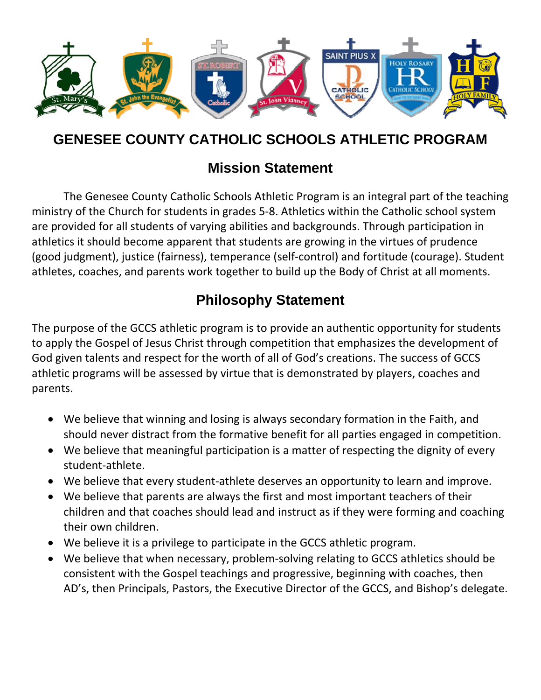

# **GENESEE COUNTY CATHOLIC SCHOOLS ATHLETIC PROGRAM**

# **Mission Statement**

The Genesee County Catholic Schools Athletic Program is an integral part of the teaching ministry of the Church for students in grades 5‐8. Athletics within the Catholic school system are provided for all students of varying abilities and backgrounds. Through participation in athletics it should become apparent that students are growing in the virtues of prudence (good judgment), justice (fairness), temperance (self‐control) and fortitude (courage). Student athletes, coaches, and parents work together to build up the Body of Christ at all moments.

# **Philosophy Statement**

The purpose of the GCCS athletic program is to provide an authentic opportunity for students to apply the Gospel of Jesus Christ through competition that emphasizes the development of God given talents and respect for the worth of all of God's creations. The success of GCCS athletic programs will be assessed by virtue that is demonstrated by players, coaches and parents.

- We believe that winning and losing is always secondary formation in the Faith, and should never distract from the formative benefit for all parties engaged in competition.
- We believe that meaningful participation is a matter of respecting the dignity of every student‐athlete.
- We believe that every student-athlete deserves an opportunity to learn and improve.
- We believe that parents are always the first and most important teachers of their children and that coaches should lead and instruct as if they were forming and coaching their own children.
- We believe it is a privilege to participate in the GCCS athletic program.
- We believe that when necessary, problem-solving relating to GCCS athletics should be consistent with the Gospel teachings and progressive, beginning with coaches, then AD's, then Principals, Pastors, the Executive Director of the GCCS, and Bishop's delegate.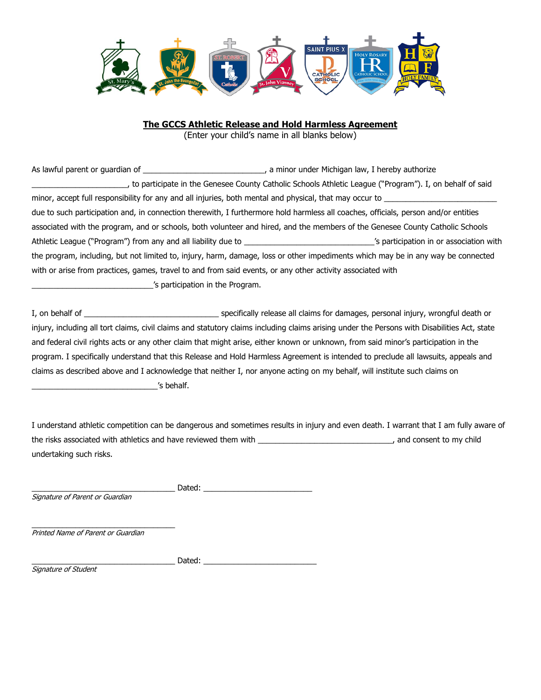

#### **The GCCS Athletic Release and Hold Harmless Agreement**

(Enter your child's name in all blanks below)

As lawful parent or guardian of \_\_\_\_\_\_\_\_\_\_\_\_\_\_\_\_\_\_\_\_\_\_\_\_\_\_\_\_\_\_\_\_\_\_, a minor under Michigan law, I hereby authorize \_\_\_\_\_\_\_\_\_\_\_\_\_\_\_\_\_\_\_\_\_\_, to participate in the Genesee County Catholic Schools Athletic League ("Program"). I, on behalf of said minor, accept full responsibility for any and all injuries, both mental and physical, that may occur to due to such participation and, in connection therewith, I furthermore hold harmless all coaches, officials, person and/or entities associated with the program, and or schools, both volunteer and hired, and the members of the Genesee County Catholic Schools Athletic League ("Program") from any and all liability due to \_\_\_\_\_\_\_\_\_\_\_\_\_\_\_\_\_\_\_\_\_\_\_\_\_\_\_\_\_\_\_\_\_'s participation in or association with the program, including, but not limited to, injury, harm, damage, loss or other impediments which may be in any way be connected with or arise from practices, games, travel to and from said events, or any other activity associated with \_\_\_\_\_\_\_\_\_\_\_\_\_\_\_\_\_\_\_\_\_\_\_\_\_\_\_\_'s participation in the Program.

I, on behalf of \_\_\_\_\_\_\_\_\_\_\_\_\_\_\_\_\_\_\_\_\_\_\_\_\_\_\_\_\_\_\_ specifically release all claims for damages, personal injury, wrongful death or injury, including all tort claims, civil claims and statutory claims including claims arising under the Persons with Disabilities Act, state and federal civil rights acts or any other claim that might arise, either known or unknown, from said minor's participation in the program. I specifically understand that this Release and Hold Harmless Agreement is intended to preclude all lawsuits, appeals and claims as described above and I acknowledge that neither I, nor anyone acting on my behalf, will institute such claims on \_\_\_\_\_\_\_\_\_\_\_\_\_\_\_\_\_\_\_\_\_\_\_\_\_\_\_\_\_'s behalf.

I understand athletic competition can be dangerous and sometimes results in injury and even death. I warrant that I am fully aware of the risks associated with athletics and have reviewed them with \_\_\_\_\_\_\_\_\_\_\_\_\_\_\_\_\_\_\_\_\_\_\_\_\_\_\_\_\_\_\_, and consent to my child undertaking such risks.

| Signature of Parent or Guardian |  |
|---------------------------------|--|

\_\_\_\_\_\_\_\_\_\_\_\_\_\_\_\_\_\_\_\_\_\_\_\_\_\_\_\_\_\_\_\_\_ Printed Name of Parent or Guardian

\_\_\_\_\_\_\_\_\_\_\_\_\_\_\_\_\_\_\_\_\_\_\_\_\_\_\_\_\_\_\_\_\_ Dated: \_\_\_\_\_\_\_\_\_\_\_\_\_\_\_\_\_\_\_\_\_\_\_\_\_\_

Signature of Student